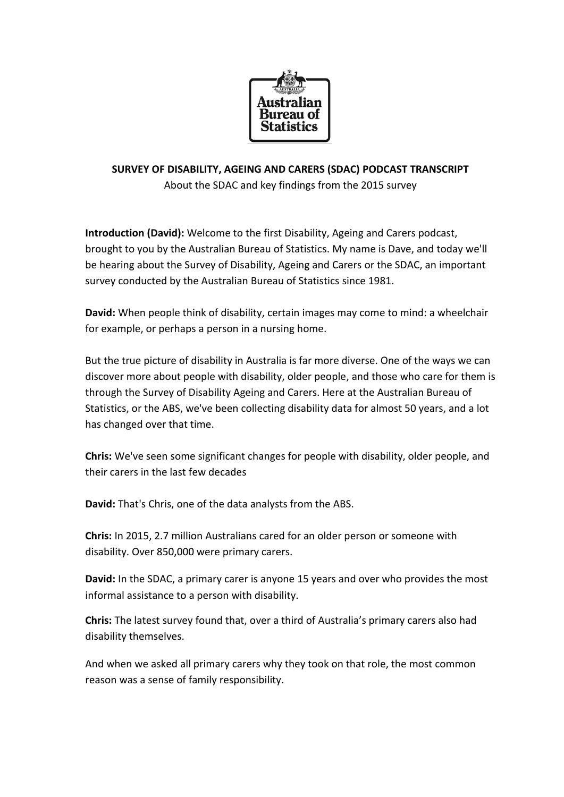

## **SURVEY OF DISABILITY, AGEING AND CARERS (SDAC) PODCAST TRANSCRIPT**

About the SDAC and key findings from the 2015 survey

**Introduction (David):** Welcome to the first Disability, Ageing and Carers podcast, brought to you by the Australian Bureau of Statistics. My name is Dave, and today we'll be hearing about the Survey of Disability, Ageing and Carers or the SDAC, an important survey conducted by the Australian Bureau of Statistics since 1981.

**David:** When people think of disability, certain images may come to mind: a wheelchair for example, or perhaps a person in a nursing home.

But the true picture of disability in Australia is far more diverse. One of the ways we can discover more about people with disability, older people, and those who care for them is through the Survey of Disability Ageing and Carers. Here at the Australian Bureau of Statistics, or the ABS, we've been collecting disability data for almost 50 years, and a lot has changed over that time.

**Chris:** We've seen some significant changes for people with disability, older people, and their carers in the last few decades

**David:** That's Chris, one of the data analysts from the ABS.

**Chris:** In 2015, 2.7 million Australians cared for an older person or someone with disability. Over 850,000 were primary carers.

**David:** In the SDAC, a primary carer is anyone 15 years and over who provides the most informal assistance to a person with disability.

**Chris:** The latest survey found that, over a third of Australia's primary carers also had disability themselves.

And when we asked all primary carers why they took on that role, the most common reason was a sense of family responsibility.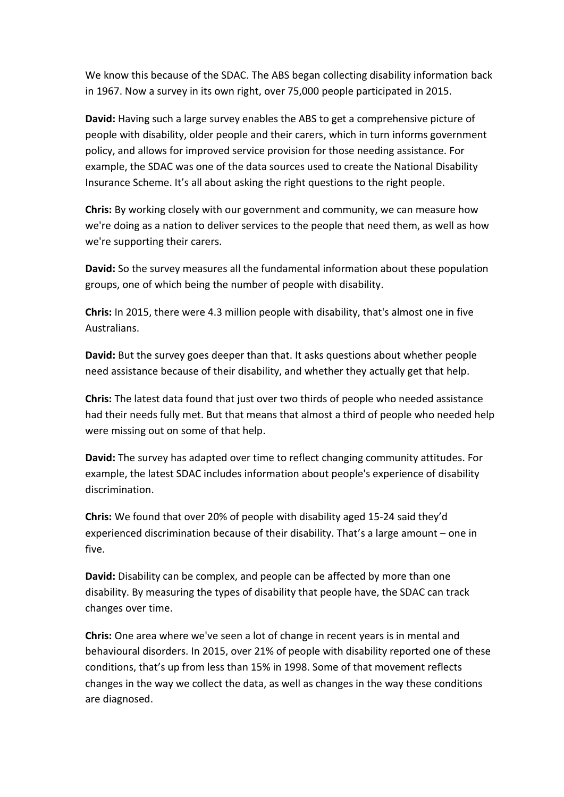We know this because of the SDAC. The ABS began collecting disability information back in 1967. Now a survey in its own right, over 75,000 people participated in 2015.

**David:** Having such a large survey enables the ABS to get a comprehensive picture of people with disability, older people and their carers, which in turn informs government policy, and allows for improved service provision for those needing assistance. For example, the SDAC was one of the data sources used to create the National Disability Insurance Scheme. It's all about asking the right questions to the right people.

**Chris:** By working closely with our government and community, we can measure how we're doing as a nation to deliver services to the people that need them, as well as how we're supporting their carers.

**David:** So the survey measures all the fundamental information about these population groups, one of which being the number of people with disability.

**Chris:** In 2015, there were 4.3 million people with disability, that's almost one in five Australians.

**David:** But the survey goes deeper than that. It asks questions about whether people need assistance because of their disability, and whether they actually get that help.

**Chris:** The latest data found that just over two thirds of people who needed assistance had their needs fully met. But that means that almost a third of people who needed help were missing out on some of that help.

**David:** The survey has adapted over time to reflect changing community attitudes. For example, the latest SDAC includes information about people's experience of disability discrimination.

**Chris:** We found that over 20% of people with disability aged 15-24 said they'd experienced discrimination because of their disability. That's a large amount – one in five.

**David:** Disability can be complex, and people can be affected by more than one disability. By measuring the types of disability that people have, the SDAC can track changes over time.

**Chris:** One area where we've seen a lot of change in recent years is in mental and behavioural disorders. In 2015, over 21% of people with disability reported one of these conditions, that's up from less than 15% in 1998. Some of that movement reflects changes in the way we collect the data, as well as changes in the way these conditions are diagnosed.